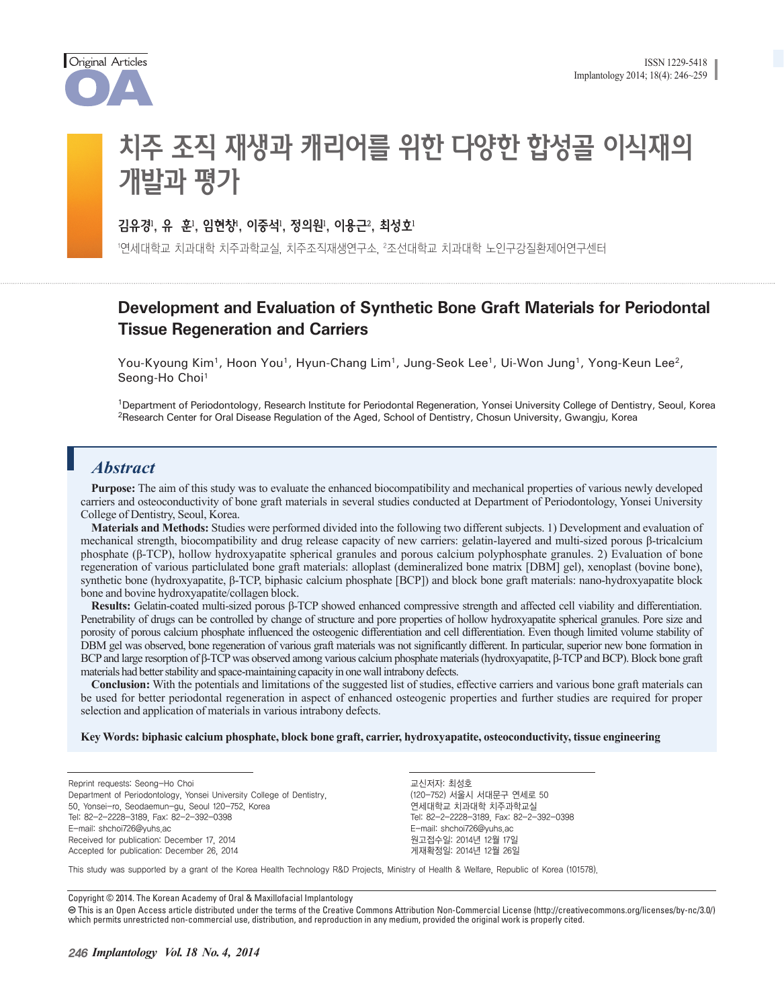

# 치주 조직 재생과 캐리어를 위한 다양한 합성골 이식재의 개발과 평가

### 김유경', 유 "꾼", 임현장', 이중석', 성의원', 이풍근', 죄성호'

'연세대학교 지과대학 지수과학교의 지수조식재생연구소, <del>'</del>조선대학교 지과대학 노인구강실환제어연구센터

# **Development and Evaluation of Synthetic Bone Graft Materials for Periodontal Tissue Regeneration and Carriers**

You-Kyoung Kim<sup>1</sup>, Hoon You<sup>1</sup>, Hyun-Chang Lim<sup>1</sup>, Jung-Seok Lee<sup>1</sup>, Ui-Won Jung<sup>1</sup>, Yong-Keun Lee<sup>2</sup>, Seong-Ho Choi<sup>1</sup>

1Department of Periodontology, Research Institute for Periodontal Regeneration, Yonsei University College of Dentistry, Seoul, Korea <sup>2</sup>Research Center for Oral Disease Regulation of the Aged, School of Dentistry, Chosun University, Gwangju, Korea

### *Abstract*

**Purpose:** The aim of this study was to evaluate the enhanced biocompatibility and mechanical properties of various newly developed carriers and osteoconductivity of bone graft materials in several studies conducted at Department of Periodontology, Yonsei University College of Dentistry, Seoul, Korea.

**Materials and Methods:** Studies were performed divided into the following two different subjects. 1) Development and evaluation of mechanical strength, biocompatibility and drug release capacity of new carriers: gelatin-layered and multi-sized porous β-tricalcium phosphate (β-TCP), hollow hydroxyapatite spherical granules and porous calcium polyphosphate granules. 2) Evaluation of bone regeneration of various particlulated bone graft materials: alloplast (demineralized bone matrix [DBM] gel), xenoplast (bovine bone), synthetic bone (hydroxyapatite, β-TCP, biphasic calcium phosphate [BCP]) and block bone graft materials: nano-hydroxyapatite block bone and bovine hydroxyapatite/collagen block.

**Results:** Gelatin-coated multi-sized porous β-TCP showed enhanced compressive strength and affected cell viability and differentiation. Penetrability of drugs can be controlled by change of structure and pore properties of hollow hydroxyapatite spherical granules. Pore size and porosity of porous calcium phosphate influenced the osteogenic differentiation and cell differentiation. Even though limited volume stability of DBM gel was observed, bone regeneration of various graft materials was not significantly different. In particular, superior new bone formation in BCP and large resorption of β-TCP was observed among various calcium phosphate materials (hydroxyapatite, β-TCP and BCP). Block bone graft materials had better stability and space-maintaining capacity in one wall intrabony defects.

**Conclusion:** With the potentials and limitations of the suggested list of studies, effective carriers and various bone graft materials can be used for better periodontal regeneration in aspect of enhanced osteogenic properties and further studies are required for proper selection and application of materials in various intrabony defects.

#### **Key Words: biphasic calcium phosphate, block bone graft, carrier, hydroxyapatite, osteoconductivity, tissue engineering**

Reprint requests: Seong-Ho Choi

Department of Periodontology, Yonsei University College of Dentistry,

50, Yonsei-ro, Seodaemun-gu, Seoul 120-752, Korea Tel: 82-2-2228-3189, Fax: 82-2-392-0398 E-mail: shchoi726@yuhs.ac

Received for publication: December 17, 2014 Accepted for publication: December 26, 2014 교신저자: 최성호 (120-752) 서울시 서대문구 연세로 50 연세대학교 치과대학 치주과학교실 Tel: 82-2-2228-3189, Fax: 82-2-392-0398 E-mail: shchoi726@yuhs.ac 원고접수일: 2014년 12월 17일 게재확정일: 2014년 12월 26일

This study was supported by a grant of the Korea Health Technology R&D Projects, Ministry of Health & Welfare, Republic of Korea (101578).

Copyright © 2014. The Korean Academy of Oral & Maxillofacial Implantology

 This is an Open Access article distributed under the terms of the Creative Commons Attribution Non-Commercial License (http://creativecommons.org/licenses/by-nc/3.0/) which permits unrestricted non-commercial use, distribution, and reproduction in any medium, provided the original work is properly cited.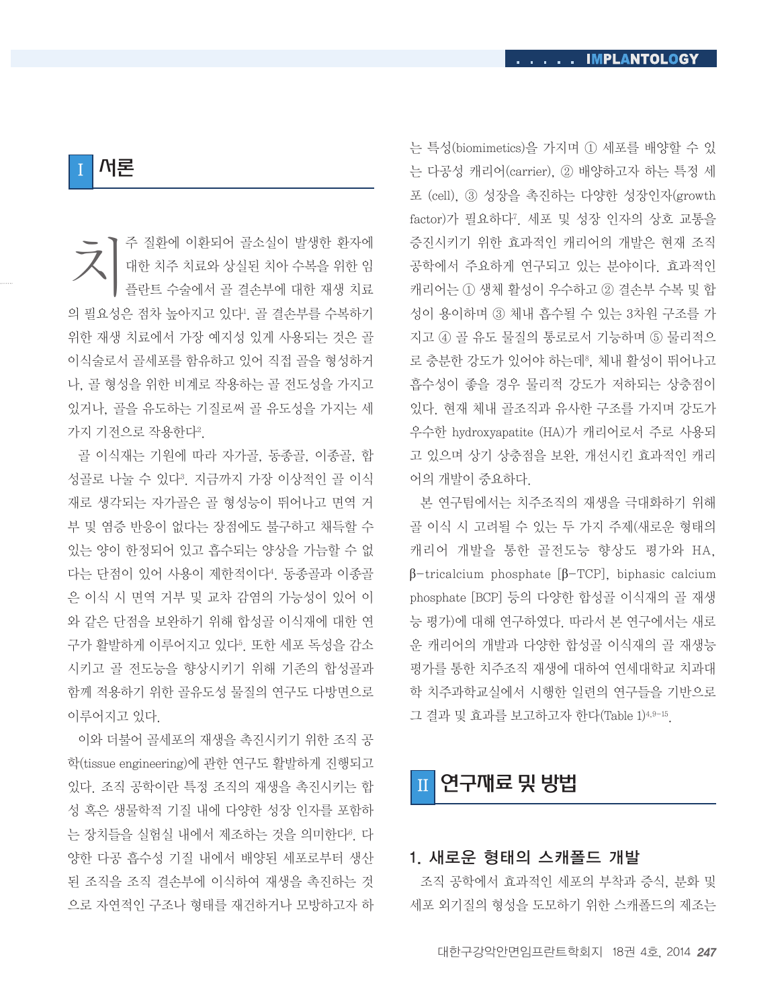I 서론

국 기주 질환에 이환되어 골소실이 발생한 환자에<br>대한 치주 치료와 상실된 치아 수복을 위한 임<br>플란트 수술에서 골 결손부에 대한 재생 치료 대한 치주 치료와 상실된 치아 수복을 위한 임 플란트 수술에서 골 결손부에 대한 재생 치료 의 필요성은 점차 높아지고 있다. 골 결손부를 수복하기 위한 재생 치료에서 가장 예지성 있게 사용되는 것은 골 이식술로서 골세포를 함유하고 있어 직접 골을 형성하거 나, 골 형성을 위한 비계로 작용하는 골 전도성을 가지고 있거나, 골을 유도하는 기질로써 골 유도성을 가지는 세 가지 기전으로 작용한다<sup>2</sup>.

골 이식재는 기원에 따라 자가골, 동종골, 이종골, 합 성골로 나눌 수 있다?. 지금까지 가장 이상적인 골 이식 재로 생각되는 자가골은 골 형성능이 뛰어나고 면역 거 부 및 염증 반응이 없다는 장점에도 불구하고 채득할 수 있는 양이 한정되어 있고 흡수되는 양상을 가늠할 수 없 다는 단점이 있어 사용이 제한적이다4. 동종골과 이종골 은 이식 시 면역 거부 및 교차 감염의 가능성이 있어 이 와 같은 단점을 보완하기 위해 합성골 이식재에 대한 연 구가 활발하게 이루어지고 있다<sup>5</sup>. 또한 세포 독성을 감소 시키고 골 전도능을 향상시키기 위해 기존의 합성골과 함께 적용하기 위한 골유도성 물질의 연구도 다방면으로 이루어지고 있다.

이와 더불어 골세포의 재생을 촉진시키기 위한 조직 공 학(tissue engineering)에 관한 연구도 활발하게 진행되고 있다. 조직 공학이란 특정 조직의 재생을 촉진시키는 합 성 혹은 생물학적 기질 내에 다양한 성장 인자를 포함하 는 장치들을 실험실 내에서 제조하는 것을 의미한다®. 다 양한 다공 흡수성 기질 내에서 배양된 세포로부터 생산 된 조직을 조직 결손부에 이식하여 재생을 촉진하는 것 으로 자연적인 구조나 형태를 재건하거나 모방하고자 하 는 특성(biomimetics)을 가지며 ① 세포를 배양할 수 있 는 다공성 캐리어(carrier), ② 배양하고자 하는 특정 세 포 (cell), ③ 성장을 촉진하는 다양한 성장인자(growth factor)가 필요하다". 세포 및 성장 인자의 상호 교통을 증진시키기 위한 효과적인 캐리어의 개발은 현재 조직 공학에서 주요하게 연구되고 있는 분야이다. 효과적인 캐리어는 ① 생체 활성이 우수하고 ② 결손부 수복 및 합 성이 용이하며 ③ 체내 흡수될 수 있는 3차원 구조를 가 지고 ④ 골 유도 물질의 통로로서 기능하며 ⑤ 물리적으 로 충분한 강도가 있어야 하는데<sup>8</sup>, 체내 활성이 뛰어나고 흡수성이 좋을 경우 물리적 강도가 저하되는 상충점이 있다. 현재 체내 골조직과 유사한 구조를 가지며 강도가 우수한 hydroxyapatite (HA)가 캐리어로서 주로 사용되 고 있으며 상기 상충점을 보완, 개선시킨 효과적인 캐리 어의 개발이 중요하다.

본 연구팀에서는 치주조직의 재생을 극대화하기 위해 골 이식 시 고려될 수 있는 두 가지 주제(새로운 형태의 캐리어 개발을 통한 골전도능 향상도 평가와 HA, β-tricalcium phosphate [β-TCP], biphasic calcium phosphate [BCP] 등의 다양한 합성골 이식재의 골 재생 능 평가)에 대해 연구하였다. 따라서 본 연구에서는 새로 운 캐리어의 개발과 다양한 합성골 이식재의 골 재생능 평가를 통한 치주조직 재생에 대하여 연세대학교 치과대 학 치주과학교실에서 시행한 일련의 연구들을 기반으로 그 결과 및 효과를 보고하고자 한다(Table 1)4,9-15.

II 연구재료 및 방법

### 1. 새로운 형태의 스캐폴드 개발

조직 공학에서 효과적인 세포의 부착과 증식, 분화 및 세포 외기질의 형성을 도모하기 위한 스캐폴드의 제조는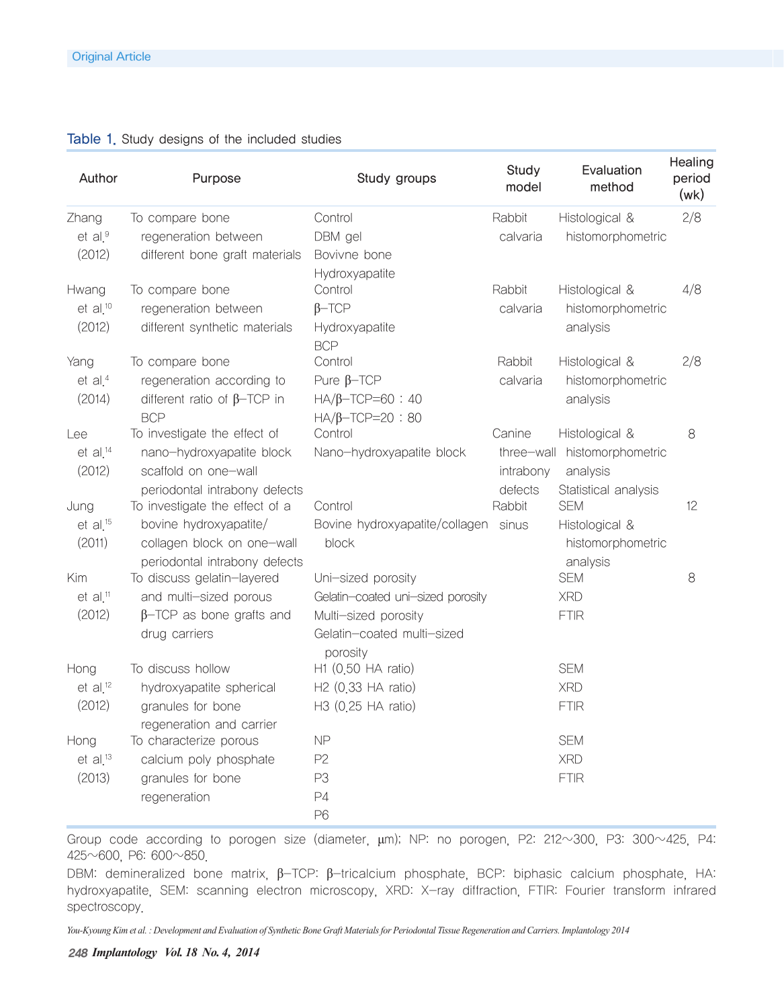#### Table 1. Study designs of the included studies

| Author                 | Purpose                                                     | Study groups                         | Study<br>model | Evaluation<br>method   | Healing<br>period<br>(wk) |
|------------------------|-------------------------------------------------------------|--------------------------------------|----------------|------------------------|---------------------------|
| Zhang                  | To compare bone                                             | Control                              | Rabbit         | Histological &         | 2/8                       |
| $et$ al. $9$           | regeneration between                                        | DBM gel                              | calvaria       | histomorphometric      |                           |
| (2012)                 | different bone graft materials                              | Bovivne bone                         |                |                        |                           |
|                        |                                                             | Hydroxyapatite                       |                |                        |                           |
| Hwang                  | To compare bone                                             | Control                              | Rabbit         | Histological &         | 4/8                       |
| $et$ al. <sup>10</sup> | regeneration between                                        | $\beta$ -TCP                         | calvaria       | histomorphometric      |                           |
| (2012)                 | different synthetic materials                               | Hydroxyapatite                       |                | analysis               |                           |
|                        |                                                             | <b>BCP</b>                           |                |                        |                           |
| Yang                   | To compare bone                                             | Control                              | Rabbit         | Histological &         | 2/8                       |
| et al. $4$             | regeneration according to                                   | Pure $\beta$ -TCP                    | calvaria       | histomorphometric      |                           |
| (2014)                 | different ratio of $\beta$ -TCP in                          | $HA/B-TCP=60:40$                     |                | analysis               |                           |
|                        | <b>BCP</b>                                                  | $HA/B-TCP=20:80$                     |                |                        |                           |
| Lee                    | To investigate the effect of                                | Control                              | Canine         | Histological &         | 8                         |
| $et$ al. <sup>14</sup> | nano-hydroxyapatite block                                   | Nano-hydroxyapatite block            | three-wall     | histomorphometric      |                           |
| (2012)                 | scaffold on one-wall                                        |                                      | intrabony      | analysis               |                           |
|                        | periodontal intrabony defects                               |                                      | defects        | Statistical analysis   |                           |
| Jung                   | To investigate the effect of a                              | Control                              | Rabbit         | <b>SEM</b>             | 12                        |
| $et$ al. <sup>15</sup> | bovine hydroxyapatite/                                      | Bovine hydroxyapatite/collagen sinus |                | Histological &         |                           |
| (2011)                 | collagen block on one-wall                                  | block                                |                | histomorphometric      |                           |
| Kim                    | periodontal intrabony defects<br>To discuss gelatin-layered | Uni-sized porosity                   |                | analysis<br><b>SEM</b> | 8                         |
| $et$ al. <sup>11</sup> | and multi-sized porous                                      | Gelatin-coated uni-sized porosity    |                | <b>XRD</b>             |                           |
| (2012)                 | $\beta$ -TCP as bone grafts and                             | Multi-sized porosity                 |                | <b>FTIR</b>            |                           |
|                        | drug carriers                                               | Gelatin-coated multi-sized           |                |                        |                           |
|                        |                                                             | porosity                             |                |                        |                           |
| Hong                   | To discuss hollow                                           | H1 (0.50 HA ratio)                   |                | <b>SEM</b>             |                           |
| $et$ al. <sup>12</sup> | hydroxyapatite spherical                                    | H2 (0.33 HA ratio)                   |                | <b>XRD</b>             |                           |
| (2012)                 | granules for bone                                           | H3 (0.25 HA ratio)                   |                | <b>FTIR</b>            |                           |
|                        | regeneration and carrier                                    |                                      |                |                        |                           |
| Hong                   | To characterize porous                                      | <b>NP</b>                            |                | <b>SEM</b>             |                           |
| $et$ al. <sup>13</sup> | calcium poly phosphate                                      | P <sub>2</sub>                       |                | <b>XRD</b>             |                           |
| (2013)                 | granules for bone                                           | P <sub>3</sub>                       |                | <b>FTIR</b>            |                           |
|                        | regeneration                                                | P4                                   |                |                        |                           |
|                        |                                                             | P <sub>6</sub>                       |                |                        |                           |

Group code according to porogen size (diameter, μm); NP: no porogen, P2: 212~300, P3: 300~425, P4: 425~600, P6: 600~850.

DBM: demineralized bone matrix, β-TCP: β-tricalcium phosphate, BCP: biphasic calcium phosphate, HA: hydroxyapatite, SEM: scanning electron microscopy, XRD: X-ray diffraction, FTIR: Fourier transform infrared spectroscopy.

*You-Kyoung Kim et al. : Development and Evaluation of Synthetic Bone Graft Materials for Periodontal Tissue Regeneration and Carriers. Implantology 2014*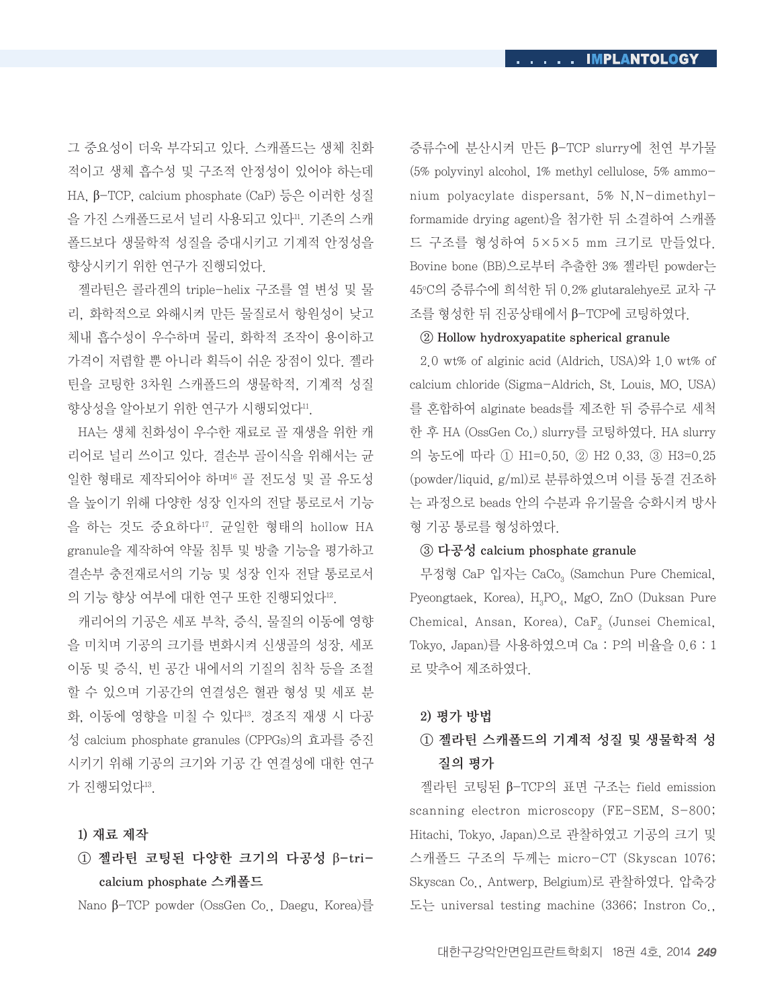그 중요성이 더욱 부각되고 있다. 스캐폴드는 생체 친화 적이고 생체 흡수성 및 구조적 안정성이 있어야 하는데 HA, β-TCP, calcium phosphate (CaP) 등은 이러한 성질 을 가진 스캐폴드로서 널리 사용되고 있다". 기존의 스캐 폴드보다 생물학적 성질을 증대시키고 기계적 안정성을 향상시키기 위한 연구가 진행되었다.

젤라틴은 콜라겐의 triple-helix 구조를 열 변성 및 물 리, 화학적으로 와해시켜 만든 물질로서 항원성이 낮고 체내 흡수성이 우수하며 물리, 화학적 조작이 용이하고 가격이 저렴할 뿐 아니라 획득이 쉬운 장점이 있다. 젤라 틴을 코팅한 3차원 스캐폴드의 생물학적, 기계적 성질 향상성을 알아보기 위한 연구가 시행되었다".

HA는 생체 친화성이 우수한 재료로 골 재생을 위한 캐 리어로 널리 쓰이고 있다. 결손부 골이식을 위해서는 균 일한 형태로 제작되어야 하며16 골 전도성 및 골 유도성 을 높이기 위해 다양한 성장 인자의 전달 통로로서 기능 을 하는 것도 중요하다17. 균일한 형태의 hollow HA granule을 제작하여 약물 침투 및 방출 기능을 평가하고 결손부 충전재로서의 기능 및 성장 인자 전달 통로로서 의 기능 향상 여부에 대한 연구 또한 진행되었다12.

캐리어의 기공은 세포 부착, 증식, 물질의 이동에 영향 을 미치며 기공의 크기를 변화시켜 신생골의 성장, 세포 이동 및 증식, 빈 공간 내에서의 기질의 침착 등을 조절 할 수 있으며 기공간의 연결성은 혈관 형성 및 세포 분 화, 이동에 영향을 미칠 수 있다13. 경조직 재생 시 다공 성 calcium phosphate granules (CPPGs)의 효과를 증진 시키기 위해 기공의 크기와 기공 간 연결성에 대한 연구 가 진행되었다13.

#### 1) 재료 제작

# ① 젤라틴 코팅된 다양한 크기의 다공성 β-tricalcium phosphate 스캐폴드

Nano β-TCP powder (OssGen Co., Daegu, Korea)를

증류수에 분산시켜 만든 β-TCP slurry에 천연 부가물 (5% polyvinyl alcohol, 1% methyl cellulose, 5% ammonium polyacylate dispersant, 5% N,N-dimethylformamide drying agent)을 첨가한 뒤 소결하여 스캐폴 드 구조를 형성하여 5×5×5 mm 크기로 만들었다. Bovine bone (BB)으로부터 추출한 3% 젤라틴 powder는 45°C의 증류수에 희석한 뒤 0.2% glutaralehye로 교차 구 조를 형성한 뒤 진공상태에서 β-TCP에 코팅하였다.

#### ② Hollow hydroxyapatite spherical granule

2.0 wt% of alginic acid (Aldrich, USA)와 1.0 wt% of calcium chloride (Sigma-Aldrich, St. Louis, MO, USA) 를 혼합하여 alginate beads를 제조한 뒤 증류수로 세척 한 후 HA (OssGen Co.) slurry를 코팅하였다. HA slurry 의 농도에 따라 ① H1=0.50, ② H2 0.33, ③ H3=0.25 (powder/liquid, g/ml)로 분류하였으며 이를 동결 건조하 는 과정으로 beads 안의 수분과 유기물을 승화시켜 방사 형 기공 통로를 형성하였다.

#### ③ 다공성 calcium phosphate granule

무정형 CaP 입자는 CaCo, (Samchun Pure Chemical, Pyeongtaek, Korea), H<sub>3</sub>PO<sub>4</sub>, MgO, ZnO (Duksan Pure Chemical, Ansan, Korea), CaF<sub>2</sub> (Junsei Chemical, Tokyo, Japan)를 사용하였으며 Ca : P의 비율을 0.6 : 1 로 맞추어 제조하였다.

#### 2) 평가 방법

# ① 젤라틴 스캐폴드의 기계적 성질 및 생물학적 성 질의 평가

젤라틴 코팅된 β-TCP의 표면 구조는 field emission scanning electron microscopy (FE-SEM, S-800; Hitachi, Tokyo, Japan)으로 관찰하였고 기공의 크기 및 스캐폴드 구조의 두께는 micro-CT (Skyscan 1076; Skyscan Co., Antwerp, Belgium)로 관찰하였다. 압축강 도는 universal testing machine (3366; Instron Co.,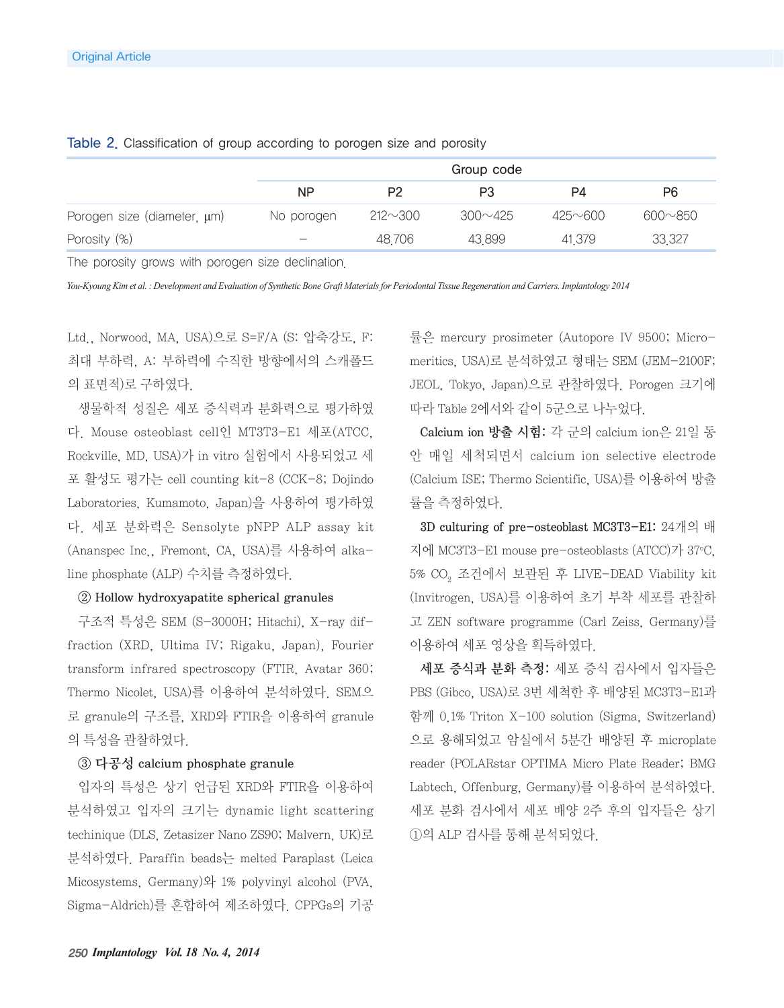|                                  | Group code               |                |                |                |                |
|----------------------------------|--------------------------|----------------|----------------|----------------|----------------|
|                                  | <b>NP</b>                | P <sub>2</sub> | P3             | P4             | P6             |
| Porogen size (diameter, $\mu$ m) | No porogen               | $212 \sim 300$ | $300 \sim 425$ | $425 \sim 600$ | $600 \sim 850$ |
| Porosity (%)                     | $\overline{\phantom{0}}$ | 48,706         | 43.899         | 41,379         | 33,327         |

Table 2. Classification of group according to porogen size and porosity

The porosity grows with porogen size declination.

*You-Kyoung Kim et al. : Development and Evaluation of Synthetic Bone Graft Materials for Periodontal Tissue Regeneration and Carriers. Implantology 2014*

Ltd., Norwood, MA, USA)으로 S=F/A (S: 압축강도, F: 최대 부하력, A: 부하력에 수직한 방향에서의 스캐폴드 의 표면적)로 구하였다.

생물학적 성질은 세포 증식력과 분화력으로 평가하였 다. Mouse osteoblast cell인 MT3T3-E1 세포(ATCC, Rockville, MD, USA)가 in vitro 실험에서 사용되었고 세 포 활성도 평가는 cell counting kit-8 (CCK-8; Dojindo Laboratories, Kumamoto, Japan)을 사용하여 평가하였 다. 세포 분화력은 Sensolyte pNPP ALP assay kit (Ananspec Inc., Fremont, CA, USA)를 사용하여 alkaline phosphate (ALP) 수치를 측정하였다.

#### ② Hollow hydroxyapatite spherical granules

구조적 특성은 SEM (S-3000H; Hitachi), X-ray diffraction (XRD, Ultima IV; Rigaku, Japan), Fourier transform infrared spectroscopy (FTIR, Avatar 360; Thermo Nicolet, USA)를 이용하여 분석하였다. SEM으 로 granule의 구조를, XRD와 FTIR을 이용하여 granule 의 특성을 관찰하였다.

#### ③ 다공성 calcium phosphate granule

입자의 특성은 상기 언급된 XRD와 FTIR을 이용하여 분석하였고 입자의 크기는 dynamic light scattering techinique (DLS, Zetasizer Nano ZS90; Malvern, UK)로 분석하였다. Paraffin beads는 melted Paraplast (Leica Micosystems, Germany)와 1% polyvinyl alcohol (PVA, Sigma-Aldrich)를 혼합하여 제조하였다. CPPGs의 기공

률은 mercury prosimeter (Autopore IV 9500; Micromeritics, USA)로 분석하였고 형태는 SEM (JEM-2100F; JEOL, Tokyo, Japan)으로 관찰하였다. Porogen 크기에 따라 Table 2에서와 같이 5군으로 나누었다.

Calcium ion 방출 시험: 각 군의 calcium ion은 21일 동 안 매일 세척되면서 calcium ion selective electrode (Calcium ISE; Thermo Scientific, USA)를 이용하여 방출 률을 측정하였다.

3D culturing of pre-osteoblast MC3T3-E1: 24개의 배 지에 MC3T3-E1 mouse pre-osteoblasts (ATCC)가 37o C, 5% CO2 조건에서 보관된 후 LIVE-DEAD Viability kit (Invitrogen, USA)를 이용하여 초기 부착 세포를 관찰하 고 ZEN software programme (Carl Zeiss, Germany)를 이용하여 세포 영상을 획득하였다.

세포 증식과 분화 측정: 세포 증식 검사에서 입자들은 PBS (Gibco, USA)로 3번 세척한 후 배양된 MC3T3-E1과 함께 0.1% Triton X-100 solution (Sigma, Switzerland) 으로 용해되었고 암실에서 5분간 배양된 후 microplate reader (POLARstar OPTIMA Micro Plate Reader; BMG Labtech, Offenburg, Germany)를 이용하여 분석하였다. 세포 분화 검사에서 세포 배양 2주 후의 입자들은 상기 ①의 ALP 검사를 통해 분석되었다.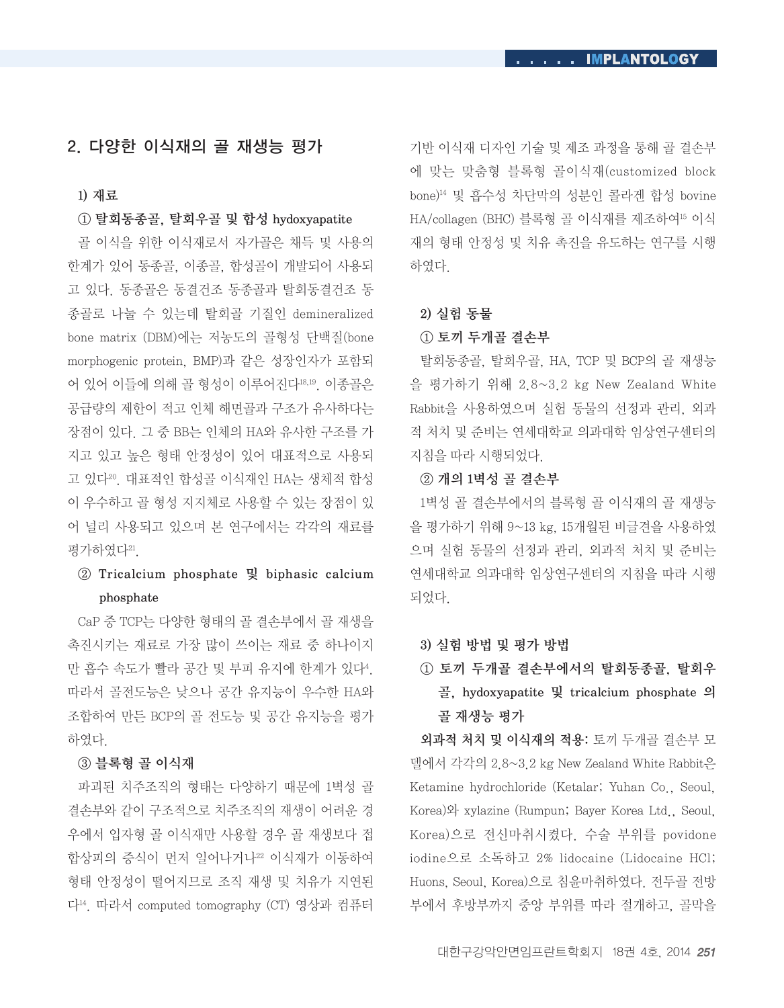### 2. 다양한 이식재의 골 재생능 평가

#### 1) 재료

#### ① 탈회동종골, 탈회우골 및 합성 hydoxyapatite

골 이식을 위한 이식재로서 자가골은 채득 및 사용의 한계가 있어 동종골, 이종골, 합성골이 개발되어 사용되 고 있다. 동종골은 동결건조 동종골과 탈회동결건조 동 종골로 나눌 수 있는데 탈회골 기질인 demineralized bone matrix (DBM)에는 저농도의 골형성 단백질(bone morphogenic protein, BMP)과 같은 성장인자가 포함되 어 있어 이들에 의해 골 형성이 이루어진다18,19. 이종골은 공급량의 제한이 적고 인체 해면골과 구조가 유사하다는 장점이 있다. 그 중 BB는 인체의 HA와 유사한 구조를 가 지고 있고 높은 형태 안정성이 있어 대표적으로 사용되 고 있다<sup>20</sup>. 대표적인 합성골 이식재인 HA는 생체적 합성 이 우수하고 골 형성 지지체로 사용할 수 있는 장점이 있 어 널리 사용되고 있으며 본 연구에서는 각각의 재료를 평가하였다<sup>21</sup>.

### ② Tricalcium phosphate 및 biphasic calcium phosphate

CaP 중 TCP는 다양한 형태의 골 결손부에서 골 재생을 촉진시키는 재료로 가장 많이 쓰이는 재료 중 하나이지 만 흡수 속도가 빨라 공간 및 부피 유지에 한계가 있다4. 따라서 골전도능은 낮으나 공간 유지능이 우수한 HA와 조합하여 만든 BCP의 골 전도능 및 공간 유지능을 평가 하였다.

#### ③ 블록형 골 이식재

파괴된 치주조직의 형태는 다양하기 때문에 1벽성 골 결손부와 같이 구조적으로 치주조직의 재생이 어려운 경 우에서 입자형 골 이식재만 사용할 경우 골 재생보다 접 합상피의 증식이 먼저 일어나거나22 이식재가 이동하여 형태 안정성이 떨어지므로 조직 재생 및 치유가 지연된 다14. 따라서 computed tomography (CT) 영상과 컴퓨터 기반 이식재 디자인 기술 및 제조 과정을 통해 골 결손부 에 맞는 맞춤형 블록형 골이식재(customized block bone)14 및 흡수성 차단막의 성분인 콜라겐 합성 bovine HA/collagen (BHC) 블록형 골 이식재를 제조하여15 이식 재의 형태 안정성 및 치유 촉진을 유도하는 연구를 시행 하였다.

#### 2) 실험 동물

#### ① 토끼 두개골 결손부

탈회동종골, 탈회우골, HA, TCP 및 BCP의 골 재생능 을 평가하기 위해 2.8~3.2 kg New Zealand White Rabbit을 사용하였으며 실험 동물의 선정과 관리, 외과 적 처치 및 준비는 연세대학교 의과대학 임상연구센터의 지침을 따라 시행되었다.

#### ② 개의 1벽성 골 결손부

1벽성 골 결손부에서의 블록형 골 이식재의 골 재생능 을 평가하기 위해 9~13 kg, 15개월된 비글견을 사용하였 으며 실험 동물의 선정과 관리, 외과적 처치 및 준비는 연세대학교 의과대학 임상연구센터의 지침을 따라 시행 되었다.

#### 3) 실험 방법 및 평가 방법

① 토끼 두개골 결손부에서의 탈회동종골, 탈회우 골, hydoxyapatite 및 tricalcium phosphate 의 골 재생능 평가

외과적 처치 및 이식재의 적용: 토끼 두개골 결손부 모 델에서 각각의 2.8~3.2 kg New Zealand White Rabbit은 Ketamine hydrochloride (Ketalar; Yuhan Co., Seoul, Korea)와 xylazine (Rumpun; Bayer Korea Ltd., Seoul, Korea)으로 전신마취시켰다. 수술 부위를 povidone iodine으로 소독하고 2% lidocaine (Lidocaine HCl; Huons, Seoul, Korea)으로 침윤마취하였다. 전두골 전방 부에서 후방부까지 중앙 부위를 따라 절개하고, 골막을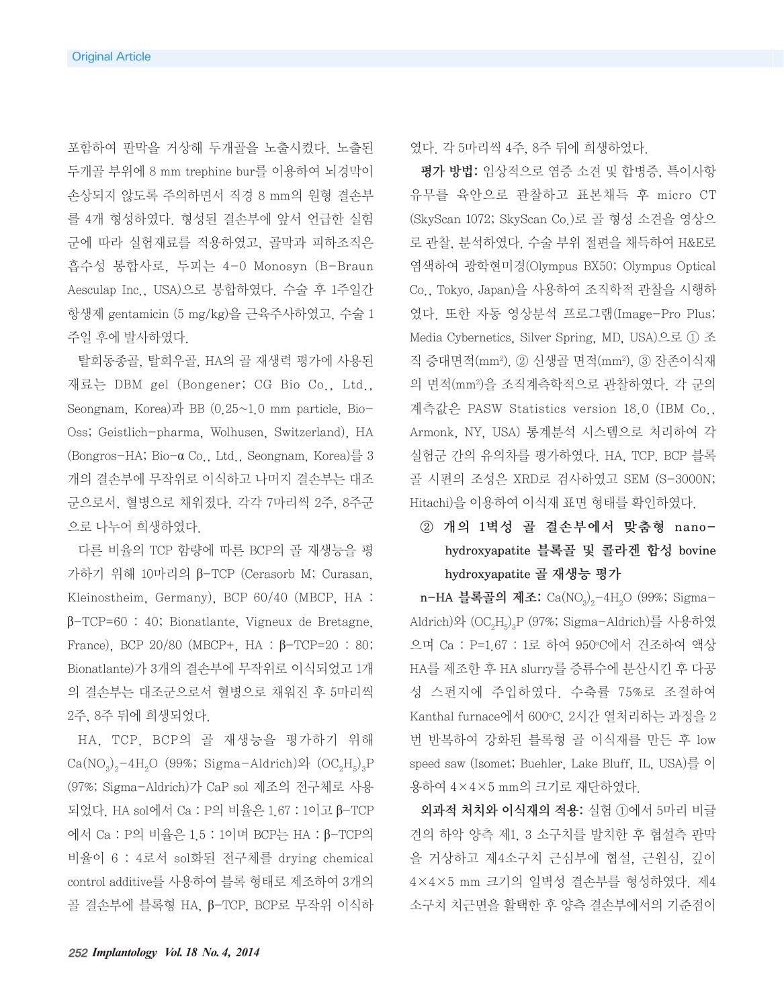포함하여 판막을 거상해 두개골을 노출시켰다. 노출된 두개골 부위에 8 mm trephine bur를 이용하여 뇌경막이 손상되지 않도록 주의하면서 직경 8 mm의 원형 결손부 를 4개 형성하였다. 형성된 결손부에 앞서 언급한 실험 군에 따라 실험재료를 적용하였고, 골막과 피하조직은 흡수성 봉합사로, 두피는 4-0 Monosyn (B-Braun Aesculap Inc., USA)으로 봉합하였다. 수술 후 1주일간 항생제 gentamicin (5 mg/kg)을 근육주사하였고, 수술 1 주일 후에 발사하였다.

탈회동종골, 탈회우골, HA의 골 재생력 평가에 사용된 재료는 DBM gel (Bongener; CG Bio Co., Ltd., Seongnam, Korea)과 BB  $(0.25~1.0$  mm particle, Bio-Oss; Geistlich-pharma, Wolhusen, Switzerland), HA (Bongros-HA; Bio-α Co., Ltd., Seongnam, Korea)를 3 개의 결손부에 무작위로 이식하고 나머지 결손부는 대조 군으로서, 혈병으로 채워졌다. 각각 7마리씩 2주, 8주군 으로 나누어 희생하였다.

다른 비율의 TCP 함량에 따른 BCP의 골 재생능을 평 가하기 위해 10마리의 β-TCP (Cerasorb M; Curasan, Kleinostheim, Germany), BCP 60/40 (MBCP, HA : β-TCP=60 : 40; Bionatlante, Vigneux de Bretagne, France), BCP 20/80 (MBCP+, HA : β-TCP=20 : 80; Bionatlante)가 3개의 결손부에 무작위로 이식되었고 1개 의 결손부는 대조군으로서 혈병으로 채워진 후 5마리씩 2주, 8주 뒤에 희생되었다.

HA, TCP, BCP의 골 재생능을 평가하기 위해  $Ca(NO<sub>3</sub>)<sub>2</sub>-4H<sub>3</sub>O$  (99%; Sigma-Aldrich)와  $(OC<sub>2</sub>H<sub>5</sub>)<sub>3</sub>P$ (97%; Sigma-Aldrich)가 CaP sol 제조의 전구체로 사용 되었다. HA sol에서 Ca : P의 비율은 1.67 : 1이고 β-TCP 에서 Ca : P의 비율은 1.5 : 1이며 BCP는 HA : β-TCP의 비율이 6 : 4로서 sol화된 전구체를 drying chemical control additive를 사용하여 블록 형태로 제조하여 3개의 골 결손부에 블록형 HA, β-TCP, BCP로 무작위 이식하 였다. 각 5마리씩 4주, 8주 뒤에 희생하였다.

평가 방법: 임상적으로 염증 소견 및 합병증, 특이사항 유무를 육안으로 관찰하고 표본채득 후 micro CT (SkyScan 1072; SkyScan Co.)로 골 형성 소견을 영상으 로 관찰, 분석하였다. 수술 부위 절편을 채득하여 H&E로 염색하여 광학현미경(Olympus BX50; Olympus Optical Co., Tokyo, Japan)을 사용하여 조직학적 관찰을 시행하 였다. 또한 자동 영상분석 프로그램(Image-Pro Plus; Media Cybernetics, Silver Spring, MD, USA)으로 ① 조 직 증대면적(mm2), ② 신생골 면적(mm2), ③ 잔존이식재 의 면적(mm2)을 조직계측학적으로 관찰하였다. 각 군의 계측값은 PASW Statistics version 18.0 (IBM Co., Armonk, NY, USA) 통계분석 시스템으로 처리하여 각 실험군 간의 유의차를 평가하였다. HA, TCP, BCP 블록 골 시편의 조성은 XRD로 검사하였고 SEM (S-3000N; Hitachi)을 이용하여 이식재 표면 형태를 확인하였다.

# ② 개의 1벽성 골 결손부에서 맞춤형 nanohydroxyapatite 블록골 및 콜라겐 합성 bovine hydroxyapatite 골 재생능 평가

n-HA 블록골의 제조: Ca(NO<sub>2</sub>)<sub>2</sub>-4H<sub>2</sub>O (99%; Sigma- $\Delta$ Aldrich)와  $(OC<sub>2</sub>H<sub>5</sub>)<sub>3</sub>P$  (97%; Sigma-Aldrich)를 사용하였 으며 Ca : P=1.67 : 1로 하여 950ºC에서 건조하여 액상 HA를 제조한 후 HA slurry를 증류수에 분산시킨 후 다공 성 스펀지에 주입하였다. 수축률 75%로 조절하여 Kanthal furnace에서 600°C, 2시간 열처리하는 과정을 2 번 반복하여 강화된 블록형 골 이식재를 만든 후 low speed saw (Isomet; Buehler, Lake Bluff, IL, USA)를 이 용하여 4×4×5 mm의 크기로 재단하였다.

외과적 처치와 이식재의 적용: 실험 ①에서 5마리 비글 견의 하악 양측 제1, 3 소구치를 발치한 후 협설측 판막 을 거상하고 제4소구치 근심부에 협설, 근원심, 깊이 4×4×5 mm 크기의 일벽성 결손부를 형성하였다. 제4 소구치 치근면을 활택한 후 양측 결손부에서의 기준점이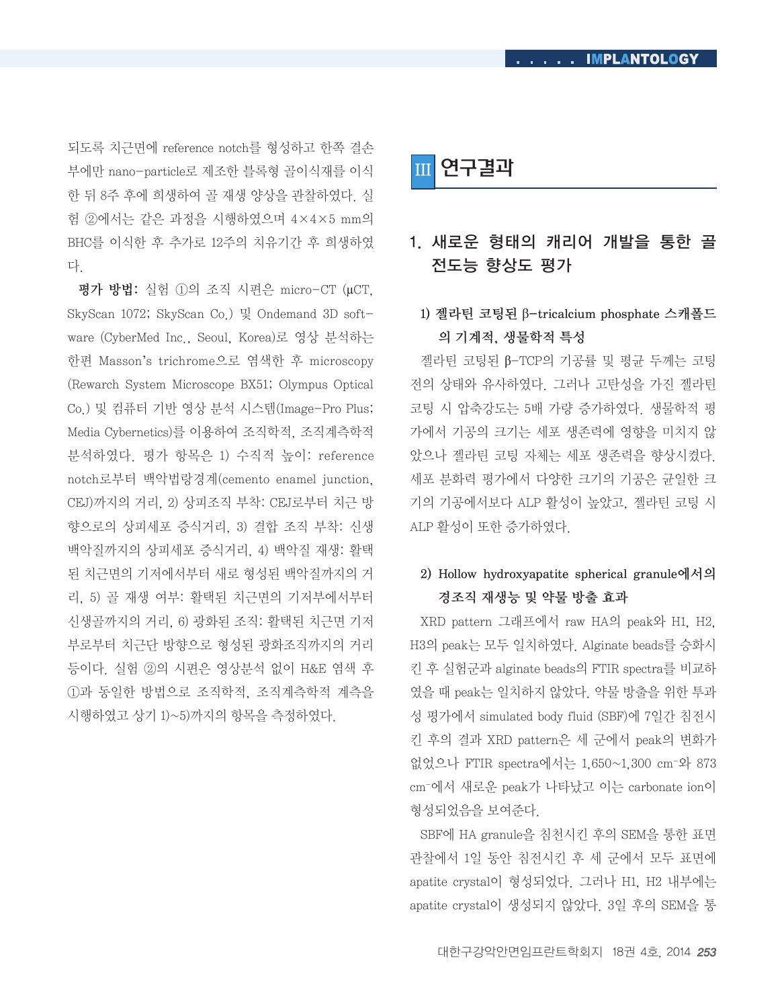되도록 치근면에 reference notch를 형성하고 한쪽 결손 부에만 nano-particle로 제조한 블록형 골이식재를 이식 한 뒤 8주 후에 희생하여 골 재생 양상을 관찰하였다. 실 험 ②에서는 같은 과정을 시행하였으며 4×4×5 mm의 BHC를 이식한 후 추가로 12주의 치유기간 후 희생하였 다.

평가 방법: 실험 ①의 조직 시편은 micro-CT (µCT, SkyScan 1072; SkyScan Co.) 및 Ondemand 3D software (CyberMed Inc., Seoul, Korea)로 영상 분석하는 한편 Masson's trichrome으로 염색한 후 microscopy (Rewarch System Microscope BX51; Olympus Optical Co.) 및 컴퓨터 기반 영상 분석 시스템(Image-Pro Plus; Media Cybernetics)를 이용하여 조직학적, 조직계측학적 분석하였다. 평가 항목은 1) 수직적 높이: reference notch로부터 백악법랑경계(cemento enamel junction, CEJ)까지의 거리, 2) 상피조직 부착: CEJ로부터 치근 방 향으로의 상피세포 증식거리, 3) 결합 조직 부착: 신생 백악질까지의 상피세포 증식거리, 4) 백악질 재생: 활택 된 치근면의 기저에서부터 새로 형성된 백악질까지의 거 리, 5) 골 재생 여부: 활택된 치근면의 기저부에서부터 신생골까지의 거리, 6) 광화된 조직: 활택된 치근면 기저 부로부터 치근단 방향으로 형성된 광화조직까지의 거리 등이다. 실험 ②의 시편은 영상분석 없이 H&E 염색 후 ①과 동일한 방법으로 조직학적, 조직계측학적 계측을 시행하였고 상기 1)~5)까지의 항목을 측정하였다.

 $\sf I$ 연구결과

# 1. 새로운 형태의 캐리어 개발을 통한 골 전도능 향상도 평가

# 1) 젤라틴 코팅된 β-tricalcium phosphate 스캐폴드 의 기계적, 생물학적 특성

젤라틴 코팅된 β-TCP의 기공률 및 평균 두께는 코팅 전의 상태와 유사하였다. 그러나 고탄성을 가진 젤라틴 코팅 시 압축강도는 5배 가량 증가하였다. 생물학적 평 가에서 기공의 크기는 세포 생존력에 영향을 미치지 않 았으나 젤라틴 코팅 자체는 세포 생존력을 향상시켰다. 세포 분화력 평가에서 다양한 크기의 기공은 균일한 크 기의 기공에서보다 ALP 활성이 높았고, 젤라틴 코팅 시 ALP 활성이 또한 증가하였다.

# 2) Hollow hydroxyapatite spherical granule에서의 경조직 재생능 및 약물 방출 효과

XRD pattern 그래프에서 raw HA의 peak와 H1, H2, H3의 peak는 모두 일치하였다. Alginate beads를 승화시 킨 후 실험군과 alginate beads의 FTIR spectra를 비교하 였을 때 peak는 일치하지 않았다. 약물 방출을 위한 투과 성 평가에서 simulated body fluid (SBF)에 7일간 침전시 킨 후의 결과 XRD pattern은 세 군에서 peak의 변화가 없었으나 FTIR spectra에서는 1,650~1,300 cm-와 873 cm-에서 새로운 peak가 나타났고 이는 carbonate ion이 형성되었음을 보여준다.

SBF에 HA granule을 침천시킨 후의 SEM을 통한 표면 관찰에서 1일 동안 침전시킨 후 세 군에서 모두 표면에 apatite crystal이 형성되었다. 그러나 H1, H2 내부에는 apatite crystal이 생성되지 않았다. 3일 후의 SEM을 통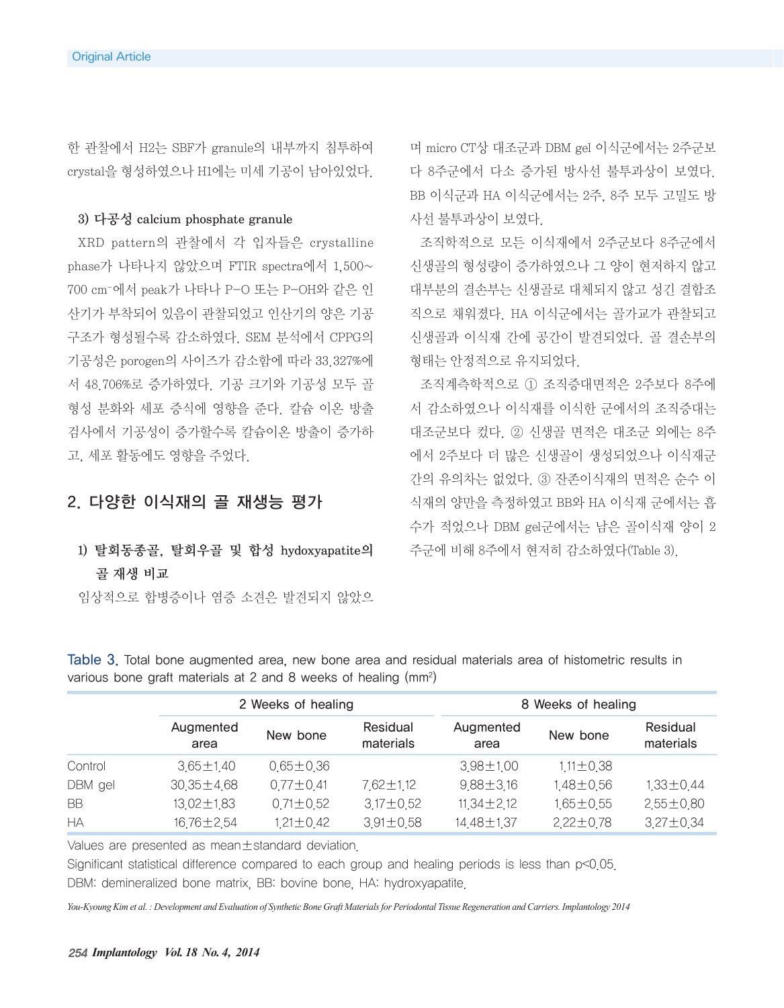한 관찰에서 H2는 SBF가 granule의 내부까지 침투하여 crystal을 형성하였으나 H1에는 미세 기공이 남아있었다.

#### 3) 다공성 calcium phosphate granule

XRD pattern의 관찰에서 각 입자들은 crystalline phase가 나타나지 않았으며 FTIR spectra에서 1,500~ 700 cm-에서 peak가 나타나 P-O 또는 P-OH와 같은 인 산기가 부착되어 있음이 관찰되었고 인산기의 양은 기공 구조가 형성될수록 감소하였다. SEM 분석에서 CPPG의 기공성은 porogen의 사이즈가 감소함에 따라 33.327%에 서 48.706%로 증가하였다. 기공 크기와 기공성 모두 골 형성 분화와 세포 증식에 영향을 준다. 칼슘 이온 방출 검사에서 기공성이 증가할수록 칼슘이온 방출이 증가하 고, 세포 활동에도 영향을 주었다.

### 2. 다양한 이식재의 골 재생능 평가

# 1) 탈회동종골, 탈회우골 및 합성 hydoxyapatite의 골 재생 비교

임상적으로 합병증이나 염증 소견은 발견되지 않았으

며 micro CT상 대조군과 DBM gel 이식군에서는 2주군보 다 8주군에서 다소 증가된 방사선 불투과상이 보였다. BB 이식군과 HA 이식군에서는 2주, 8주 모두 고밀도 방 사선 불투과상이 보였다.

조직학적으로 모든 이식재에서 2주군보다 8주군에서 신생골의 형성량이 증가하였으나 그 양이 현저하지 않고 대부분의 결손부는 신생골로 대체되지 않고 성긴 결합조 직으로 채워졌다. HA 이식군에서는 골가교가 관찰되고 신생골과 이식재 간에 공간이 발견되었다. 골 결손부의 형태는 안정적으로 유지되었다.

조직계측학적으로 ① 조직증대면적은 2주보다 8주에 서 감소하였으나 이식재를 이식한 군에서의 조직증대는 대조군보다 컸다. ② 신생골 면적은 대조군 외에는 8주 에서 2주보다 더 많은 신생골이 생성되었으나 이식재군 간의 유의차는 없었다. ③ 잔존이식재의 면적은 순수 이 식재의 양만을 측정하였고 BB와 HA 이식재 군에서는 흡 수가 적었으나 DBM gel군에서는 남은 골이식재 양이 2 주군에 비해 8주에서 현저히 감소하였다(Table 3).

|           | 2 Weeks of healing |                 |                       | 8 Weeks of healing |                 |                       |  |
|-----------|--------------------|-----------------|-----------------------|--------------------|-----------------|-----------------------|--|
|           | Augmented<br>area  | New bone        | Residual<br>materials | Augmented<br>area  | New bone        | Residual<br>materials |  |
| Control   | $3.65 \pm 1.40$    | $0.65 \pm 0.36$ |                       | 3.98±1.00          | $1.11 \pm 0.38$ |                       |  |
| DBM gel   | $30.35 \pm 4.68$   | $0.77 \pm 0.41$ | 7.62±1.12             | $9.88 \pm 3.16$    | 1,48±0.56       | $1,33 \pm 0.44$       |  |
| <b>BB</b> | 13.02±1.83         | $0.71 \pm 0.52$ | $3.17 \pm 0.52$       | $11,34 \pm 2,12$   | 1,65±0,55       | $2.55 \pm 0.80$       |  |
| НA        | 16,76±2,54         | 1.21±0.42       | $3.91 \pm 0.58$       | 14.48±1.37         | $2.22 \pm 0.78$ | $3.27 \pm 0.34$       |  |

Table 3. Total bone augmented area, new bone area and residual materials area of histometric results in various bone graft materials at 2 and 8 weeks of healing (mm2)

Values are presented as mean±standard deviation.

Significant statistical difference compared to each group and healing periods is less than p<0.05. DBM: demineralized bone matrix, BB: bovine bone, HA: hydroxyapatite.

*You-Kyoung Kim et al. : Development and Evaluation of Synthetic Bone Graft Materials for Periodontal Tissue Regeneration and Carriers. Implantology 2014*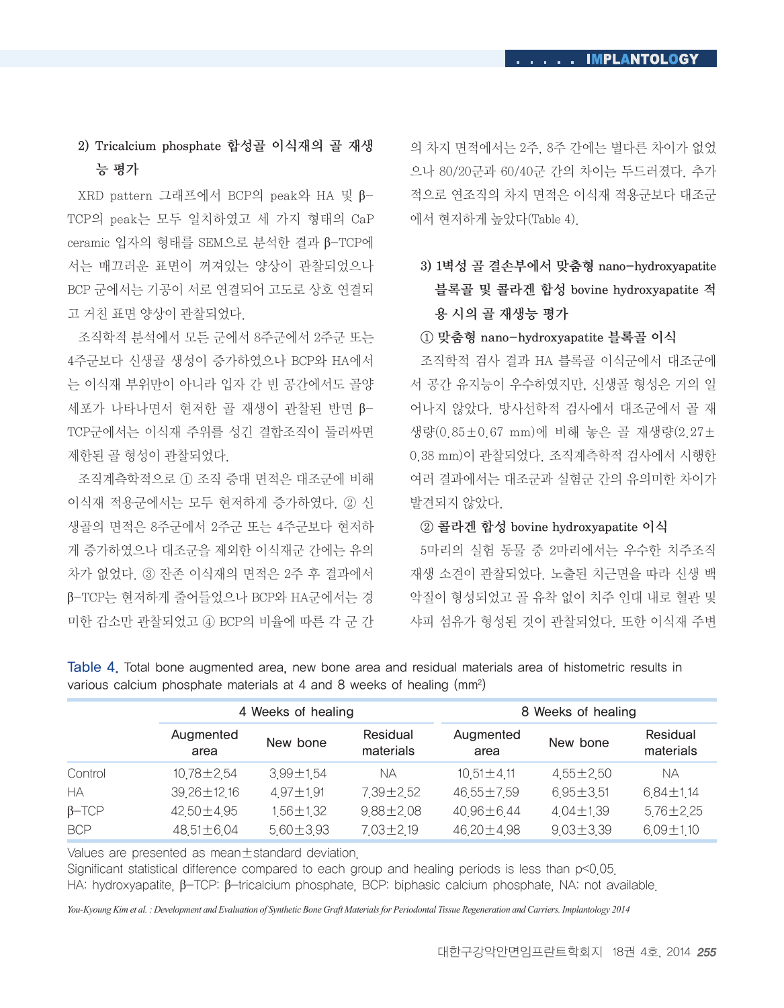# 2) Tricalcium phosphate 합성골 이식재의 골 재생 능 평가

XRD pattern 그래프에서 BCP의 peak와 HA 및 β-TCP의 peak는 모두 일치하였고 세 가지 형태의 CaP ceramic 입자의 형태를 SEM으로 분석한 결과 β-TCP에 서는 매끄러운 표면이 꺼져있는 양상이 관찰되었으나 BCP 군에서는 기공이 서로 연결되어 고도로 상호 연결되 고 거친 표면 양상이 관찰되었다.

조직학적 분석에서 모든 군에서 8주군에서 2주군 또는 4주군보다 신생골 생성이 증가하였으나 BCP와 HA에서 는 이식재 부위만이 아니라 입자 간 빈 공간에서도 골양 세포가 나타나면서 현저한 골 재생이 관찰된 반면 β-TCP군에서는 이식재 주위를 성긴 결합조직이 둘러싸면 제한된 골 형성이 관찰되었다.

조직계측학적으로 ① 조직 증대 면적은 대조군에 비해 이식재 적용군에서는 모두 현저하게 증가하였다. ② 신 생골의 면적은 8주군에서 2주군 또는 4주군보다 현저하 게 증가하였으나 대조군을 제외한 이식재군 간에는 유의 차가 없었다. ③ 잔존 이식재의 면적은 2주 후 결과에서 β-TCP는 현저하게 줄어들었으나 BCP와 HA군에서는 경 미한 감소만 관찰되었고 ④ BCP의 비율에 따른 각 군 간 의 차지 면적에서는 2주, 8주 간에는 별다른 차이가 없었 으나 80/20군과 60/40군 간의 차이는 두드러졌다. 추가 적으로 연조직의 차지 면적은 이식재 적용군보다 대조군 에서 현저하게 높았다(Table 4).

# 3) 1벽성 골 결손부에서 맞춤형 nano-hydroxyapatite 블록골 및 콜라겐 합성 bovine hydroxyapatite 적 용 시의 골 재생능 평가

### ① 맞춤형 nano-hydroxyapatite 블록골 이식

조직학적 검사 결과 HA 블록골 이식군에서 대조군에 서 공간 유지능이 우수하였지만, 신생골 형성은 거의 일 어나지 않았다. 방사선학적 검사에서 대조군에서 골 재 생량(0.85±0.67 mm)에 비해 놓은 골 재생량(2.27± 0.38 mm)이 관찰되었다. 조직계측학적 검사에서 시행한 여러 결과에서는 대조군과 실험군 간의 유의미한 차이가 발견되지 않았다.

#### ② 콜라겐 합성 bovine hydroxyapatite 이식

5마리의 실험 동물 중 2마리에서는 우수한 치주조직 재생 소견이 관찰되었다. 노출된 치근면을 따라 신생 백 악질이 형성되었고 골 유착 없이 치주 인대 내로 혈관 및 샤피 섬유가 형성된 것이 관찰되었다. 또한 이식재 주변

|              |                   | 4 Weeks of healing |                       |                   | 8 Weeks of healing |                       |  |  |
|--------------|-------------------|--------------------|-----------------------|-------------------|--------------------|-----------------------|--|--|
|              | Augmented<br>area | New bone           | Residual<br>materials | Augmented<br>area | New bone           | Residual<br>materials |  |  |
| Control      | 10.78±2.54        | 3.99±1.54          | NА                    | $10.51 \pm 4.11$  | 4,55±2,50          | NА                    |  |  |
| HА           | 39.26±12.16       | 4.97±1.91          | 7.39±2.52             | 46,55±7,59        | $6.95 \pm 3.51$    | 6.84±1.14             |  |  |
| $\beta$ -TCP | 42,50±4.95        | $1,56 \pm 1,32$    | $9.88 \pm 2.08$       | 40.96±6.44        | $4.04 \pm 1.39$    | $5.76 \pm 2.25$       |  |  |
| <b>BCP</b>   | 48.51±6.04        | $5.60 \pm 3.93$    | 7.03±2.19             | 46,20±4.98        | $9.03 \pm 3.39$    | $6.09 \pm 1.10$       |  |  |

Table 4. Total bone augmented area, new bone area and residual materials area of histometric results in various calcium phosphate materials at 4 and 8 weeks of healing (mm2)

Values are presented as mean±standard deviation.

Significant statistical difference compared to each group and healing periods is less than p<0.05. HA: hydroxyapatite, β-TCP: β-tricalcium phosphate, BCP: biphasic calcium phosphate, NA: not available.

*You-Kyoung Kim et al. : Development and Evaluation of Synthetic Bone Graft Materials for Periodontal Tissue Regeneration and Carriers. Implantology 2014*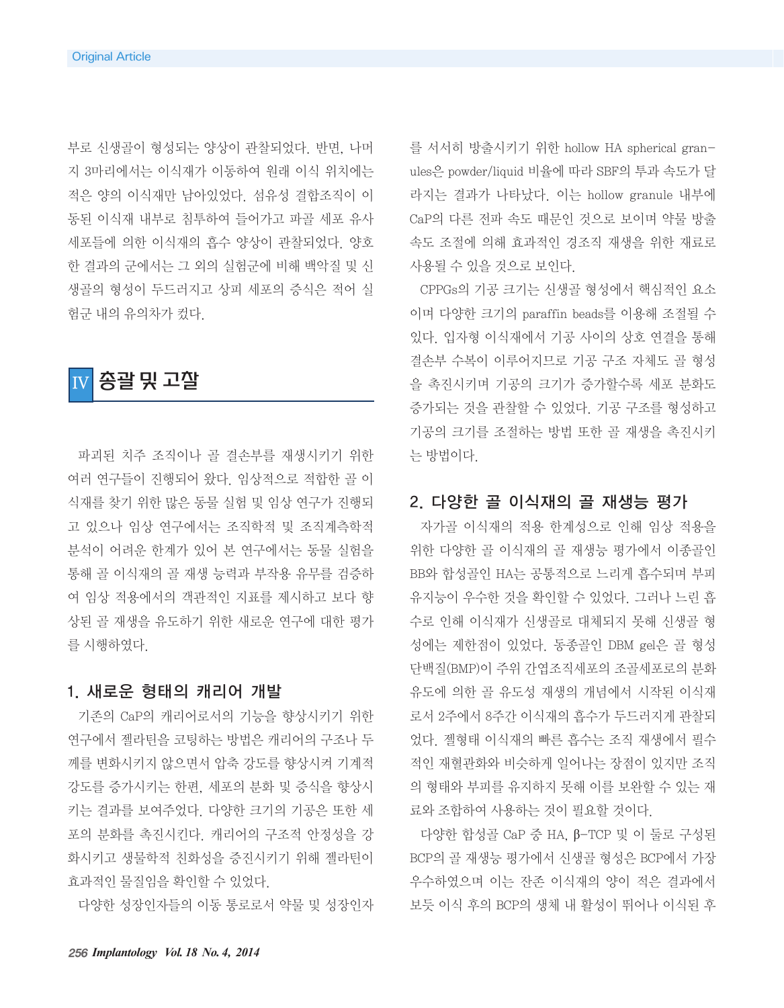부로 신생골이 형성되는 양상이 관찰되었다. 반면, 나머 지 3마리에서는 이식재가 이동하여 원래 이식 위치에는 적은 양의 이식재만 남아있었다. 섬유성 결합조직이 이 동된 이식재 내부로 침투하여 들어가고 파골 세포 유사 세포들에 의한 이식재의 흡수 양상이 관찰되었다. 양호 한 결과의 군에서는 그 외의 실험군에 비해 백악질 및 신 생골의 형성이 두드러지고 상피 세포의 증식은 적어 실 험군 내의 유의차가 컸다.



파괴된 치주 조직이나 골 결손부를 재생시키기 위한 여러 연구들이 진행되어 왔다. 임상적으로 적합한 골 이 식재를 찾기 위한 많은 동물 실험 및 임상 연구가 진행되 고 있으나 임상 연구에서는 조직학적 및 조직계측학적 분석이 어려운 한계가 있어 본 연구에서는 동물 실험을 통해 골 이식재의 골 재생 능력과 부작용 유무를 검증하 여 임상 적용에서의 객관적인 지표를 제시하고 보다 향 상된 골 재생을 유도하기 위한 새로운 연구에 대한 평가 를 시행하였다.

#### 1. 새로운 형태의 캐리어 개발

기존의 CaP의 캐리어로서의 기능을 향상시키기 위한 연구에서 젤라틴을 코팅하는 방법은 캐리어의 구조나 두 께를 변화시키지 않으면서 압축 강도를 향상시켜 기계적 강도를 증가시키는 한편, 세포의 분화 및 증식을 향상시 키는 결과를 보여주었다. 다양한 크기의 기공은 또한 세 포의 분화를 촉진시킨다. 캐리어의 구조적 안정성을 강 화시키고 생물학적 친화성을 증진시키기 위해 젤라틴이 효과적인 물질임을 확인할 수 있었다.

다양한 성장인자들의 이동 통로로서 약물 및 성장인자

를 서서히 방출시키기 위한 hollow HA spherical granules은 powder/liquid 비율에 따라 SBF의 투과 속도가 달 라지는 결과가 나타났다. 이는 hollow granule 내부에 CaP의 다른 전파 속도 때문인 것으로 보이며 약물 방출 속도 조절에 의해 효과적인 경조직 재생을 위한 재료로 사용될 수 있을 것으로 보인다.

CPPGs의 기공 크기는 신생골 형성에서 핵심적인 요소 이며 다양한 크기의 paraffin beads를 이용해 조절될 수 있다. 입자형 이식재에서 기공 사이의 상호 연결을 통해 결손부 수복이 이루어지므로 기공 구조 자체도 골 형성 을 촉진시키며 기공의 크기가 증가할수록 세포 분화도 증가되는 것을 관찰할 수 있었다. 기공 구조를 형성하고 기공의 크기를 조절하는 방법 또한 골 재생을 촉진시키 는 방법이다.

### 2. 다양한 골 이식재의 골 재생능 평가

자가골 이식재의 적용 한계성으로 인해 임상 적용을 위한 다양한 골 이식재의 골 재생능 평가에서 이종골인 BB와 합성골인 HA는 공통적으로 느리게 흡수되며 부피 유지능이 우수한 것을 확인할 수 있었다. 그러나 느린 흡 수로 인해 이식재가 신생골로 대체되지 못해 신생골 형 성에는 제한점이 있었다. 동종골인 DBM gel은 골 형성 단백질(BMP)이 주위 간엽조직세포의 조골세포로의 분화 유도에 의한 골 유도성 재생의 개념에서 시작된 이식재 로서 2주에서 8주간 이식재의 흡수가 두드러지게 관찰되 었다. 젤형태 이식재의 빠른 흡수는 조직 재생에서 필수 적인 재혈관화와 비슷하게 일어나는 장점이 있지만 조직 의 형태와 부피를 유지하지 못해 이를 보완할 수 있는 재 료와 조합하여 사용하는 것이 필요할 것이다.

다양한 합성골 CaP 중 HA, β-TCP 및 이 둘로 구성된 BCP의 골 재생능 평가에서 신생골 형성은 BCP에서 가장 우수하였으며 이는 잔존 이식재의 양이 적은 결과에서 보듯 이식 후의 BCP의 생체 내 활성이 뛰어나 이식된 후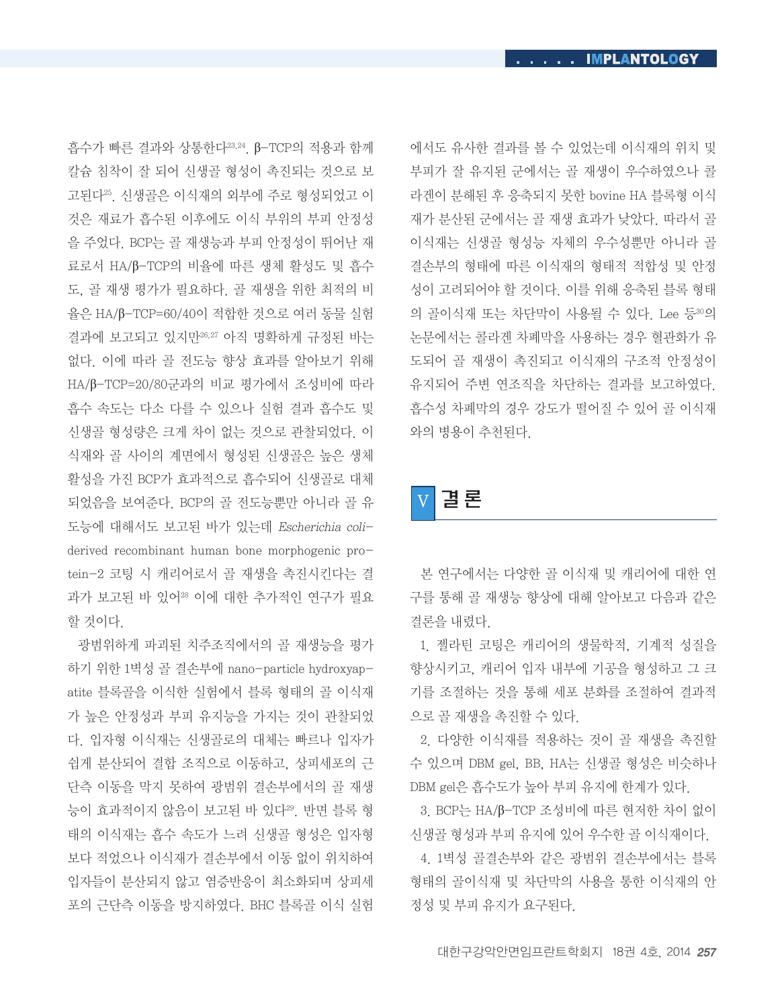흡수가 빠른 결과와 상통한다23,24. β-TCP의 적용과 함께 칼슘 침착이 잘 되어 신생골 형성이 촉진되는 것으로 보 고된다25. 신생골은 이식재의 외부에 주로 형성되었고 이 것은 재료가 흡수된 이후에도 이식 부위의 부피 안정성 을 주었다. BCP는 골 재생능과 부피 안정성이 뛰어난 재 료로서 HA/β-TCP의 비율에 따른 생체 활성도 및 흡수 도, 골 재생 평가가 필요하다. 골 재생을 위한 최적의 비 율은 HA/β-TCP=60/40이 적합한 것으로 여러 동물 실험 결과에 보고되고 있지만26,27 아직 명확하게 규정된 바는 없다. 이에 따라 골 전도능 향상 효과를 알아보기 위해 HA/β-TCP=20/80군과의 비교 평가에서 조성비에 따라 흡수 속도는 다소 다를 수 있으나 실험 결과 흡수도 및 신생골 형성량은 크게 차이 없는 것으로 관찰되었다. 이 식재와 골 사이의 계면에서 형성된 신생골은 높은 생체 활성을 가진 BCP가 효과적으로 흡수되어 신생골로 대체 되었음을 보여준다. BCP의 골 전도능뿐만 아니라 골 유 도능에 대해서도 보고된 바가 있는데 Escherichia coliderived recombinant human bone morphogenic protein-2 코팅 시 캐리어로서 골 재생을 촉진시킨다는 결 과가 보고된 바 있어28 이에 대한 추가적인 연구가 필요 할 것이다.

광범위하게 파괴된 치주조직에서의 골 재생능을 평가 하기 위한 1벽성 골 결손부에 nano-particle hydroxyapatite 블록골을 이식한 실험에서 블록 형태의 골 이식재 가 높은 안정성과 부피 유지능을 가지는 것이 관찰되었 다. 입자형 이식재는 신생골로의 대체는 빠르나 입자가 쉽게 분산되어 결합 조직으로 이동하고, 상피세포의 근 단측 이동을 막지 못하여 광범위 결손부에서의 골 재생 능이 효과적이지 않음이 보고된 바 있다29. 반면 블록 형 태의 이식재는 흡수 속도가 느려 신생골 형성은 입자형 보다 적었으나 이식재가 결손부에서 이동 없이 위치하여 입자들이 분산되지 않고 염증반응이 최소화되며 상피세 포의 근단측 이동을 방지하였다. BHC 블록골 이식 실험

에서도 유사한 결과를 볼 수 있었는데 이식재의 위치 및 부피가 잘 유지된 군에서는 골 재생이 우수하였으나 콜 라겐이 분해된 후 응축되지 못한 bovine HA 블록형 이식 재가 분산된 군에서는 골 재생 효과가 낮았다. 따라서 골 이식재는 신생골 형성능 자체의 우수성뿐만 아니라 골 결손부의 형태에 따른 이식재의 형태적 적합성 및 안정 성이 고려되어야 할 것이다. 이를 위해 응축된 블록 형태 의 골이식재 또는 차단막이 사용될 수 있다. Lee 등30의 논문에서는 콜라겐 차폐막을 사용하는 경우 혈관화가 유 도되어 골 재생이 촉진되고 이식재의 구조적 안정성이 유지되어 주변 연조직을 차단하는 결과를 보고하였다. 흡수성 차폐막의 경우 강도가 떨어질 수 있어 골 이식재 와의 병용이 추천된다.

# V 결 론

본 연구에서는 다양한 골 이식재 및 캐리어에 대한 연 구를 통해 골 재생능 향상에 대해 알아보고 다음과 같은 결론을 내렸다.

1. 젤라틴 코팅은 캐리어의 생물학적, 기계적 성질을 향상시키고, 캐리어 입자 내부에 기공을 형성하고 그 크 기를 조절하는 것을 통해 세포 분화를 조절하여 결과적 으로 골 재생을 촉진할 수 있다.

2. 다양한 이식재를 적용하는 것이 골 재생을 촉진할 수 있으며 DBM gel, BB, HA는 신생골 형성은 비슷하나 DBM gel은 흡수도가 높아 부피 유지에 한계가 있다.

3. BCP는 HA/β-TCP 조성비에 따른 현저한 차이 없이 신생골 형성과 부피 유지에 있어 우수한 골 이식재이다.

4. 1벽성 골결손부와 같은 광범위 결손부에서는 블록 형태의 골이식재 및 차단막의 사용을 통한 이식재의 안 정성 및 부피 유지가 요구된다.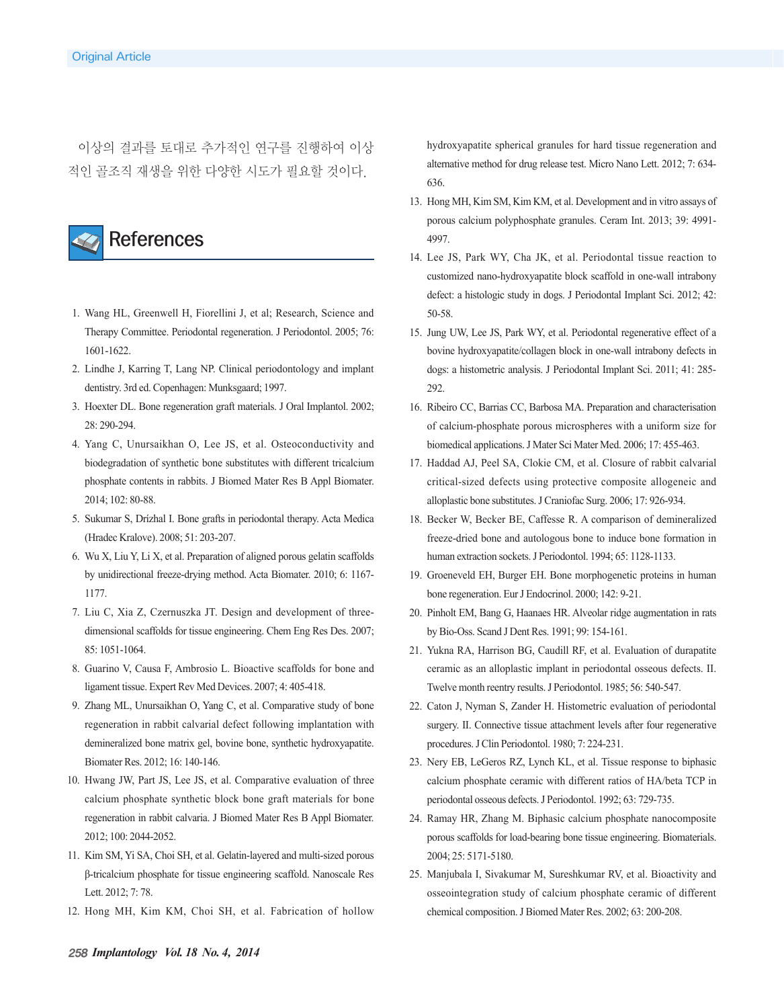이상의 결과를 토대로 추가적인 연구를 진행하여 이상 적인 골조직 재생을 위한 다양한 시도가 필요할 것이다.



- 1. Wang HL, Greenwell H, Fiorellini J, et al; Research, Science and Therapy Committee. Periodontal regeneration. J Periodontol. 2005; 76: 1601-1622.
- 2. Lindhe J, Karring T, Lang NP. Clinical periodontology and implant dentistry. 3rd ed. Copenhagen: Munksgaard; 1997.
- 3. Hoexter DL. Bone regeneration graft materials. J Oral Implantol. 2002; 28: 290-294.
- 4. Yang C, Unursaikhan O, Lee JS, et al. Osteoconductivity and biodegradation of synthetic bone substitutes with different tricalcium phosphate contents in rabbits. J Biomed Mater Res B Appl Biomater. 2014; 102: 80-88.
- 5. Sukumar S, Drízhal I. Bone grafts in periodontal therapy. Acta Medica (Hradec Kralove). 2008; 51: 203-207.
- 6. Wu X, Liu Y, Li X, et al. Preparation of aligned porous gelatin scaffolds by unidirectional freeze-drying method. Acta Biomater. 2010; 6: 1167- 1177.
- 7. Liu C, Xia Z, Czernuszka JT. Design and development of threedimensional scaffolds for tissue engineering. Chem Eng Res Des. 2007; 85: 1051-1064.
- 8. Guarino V, Causa F, Ambrosio L. Bioactive scaffolds for bone and ligament tissue. Expert Rev Med Devices. 2007; 4: 405-418.
- 9. Zhang ML, Unursaikhan O, Yang C, et al. Comparative study of bone regeneration in rabbit calvarial defect following implantation with demineralized bone matrix gel, bovine bone, synthetic hydroxyapatite. Biomater Res. 2012; 16: 140-146.
- 10. Hwang JW, Part JS, Lee JS, et al. Comparative evaluation of three calcium phosphate synthetic block bone graft materials for bone regeneration in rabbit calvaria. J Biomed Mater Res B Appl Biomater. 2012; 100: 2044-2052.
- 11. Kim SM, Yi SA, Choi SH, et al. Gelatin-layered and multi-sized porous β-tricalcium phosphate for tissue engineering scaffold. Nanoscale Res Lett. 2012; 7: 78.
- 12. Hong MH, Kim KM, Choi SH, et al. Fabrication of hollow

hydroxyapatite spherical granules for hard tissue regeneration and alternative method for drug release test. Micro Nano Lett. 2012; 7: 634- 636.

- 13. Hong MH, Kim SM, Kim KM, et al. Development and in vitro assays of porous calcium polyphosphate granules. Ceram Int. 2013; 39: 4991- 4997.
- 14. Lee JS, Park WY, Cha JK, et al. Periodontal tissue reaction to customized nano-hydroxyapatite block scaffold in one-wall intrabony defect: a histologic study in dogs. J Periodontal Implant Sci. 2012; 42: 50-58.
- 15. Jung UW, Lee JS, Park WY, et al. Periodontal regenerative effect of a bovine hydroxyapatite/collagen block in one-wall intrabony defects in dogs: a histometric analysis. J Periodontal Implant Sci. 2011; 41: 285- 292.
- 16. Ribeiro CC, Barrias CC, Barbosa MA. Preparation and characterisation of calcium-phosphate porous microspheres with a uniform size for biomedical applications. J Mater Sci Mater Med. 2006; 17: 455-463.
- 17. Haddad AJ, Peel SA, Clokie CM, et al. Closure of rabbit calvarial critical-sized defects using protective composite allogeneic and alloplastic bone substitutes. J Craniofac Surg. 2006; 17: 926-934.
- 18. Becker W, Becker BE, Caffesse R. A comparison of demineralized freeze-dried bone and autologous bone to induce bone formation in human extraction sockets. J Periodontol. 1994; 65: 1128-1133.
- 19. Groeneveld EH, Burger EH. Bone morphogenetic proteins in human bone regeneration. Eur J Endocrinol. 2000; 142: 9-21.
- 20. Pinholt EM, Bang G, Haanaes HR. Alveolar ridge augmentation in rats by Bio-Oss. Scand J Dent Res. 1991; 99: 154-161.
- 21. Yukna RA, Harrison BG, Caudill RF, et al. Evaluation of durapatite ceramic as an alloplastic implant in periodontal osseous defects. II. Twelve month reentry results. J Periodontol. 1985; 56: 540-547.
- 22. Caton J, Nyman S, Zander H. Histometric evaluation of periodontal surgery. II. Connective tissue attachment levels after four regenerative procedures. J Clin Periodontol. 1980; 7: 224-231.
- 23. Nery EB, LeGeros RZ, Lynch KL, et al. Tissue response to biphasic calcium phosphate ceramic with different ratios of HA/beta TCP in periodontal osseous defects. J Periodontol. 1992; 63: 729-735.
- 24. Ramay HR, Zhang M. Biphasic calcium phosphate nanocomposite porous scaffolds for load-bearing bone tissue engineering. Biomaterials. 2004; 25: 5171-5180.
- 25. Manjubala I, Sivakumar M, Sureshkumar RV, et al. Bioactivity and osseointegration study of calcium phosphate ceramic of different chemical composition. J Biomed Mater Res. 2002; 63: 200-208.